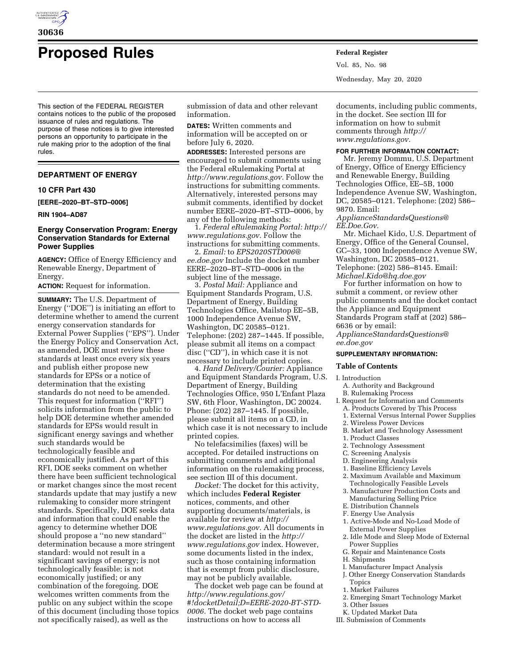

# **Proposed Rules Federal Register**

This section of the FEDERAL REGISTER contains notices to the public of the proposed issuance of rules and regulations. The purpose of these notices is to give interested persons an opportunity to participate in the rule making prior to the adoption of the final rules.

## **DEPARTMENT OF ENERGY**

## **10 CFR Part 430**

**[EERE–2020–BT–STD–0006]** 

#### **RIN 1904–AD87**

# **Energy Conservation Program: Energy Conservation Standards for External Power Supplies**

**AGENCY:** Office of Energy Efficiency and Renewable Energy, Department of Energy.

**ACTION:** Request for information.

**SUMMARY:** The U.S. Department of Energy (''DOE'') is initiating an effort to determine whether to amend the current energy conservation standards for External Power Supplies (''EPS''). Under the Energy Policy and Conservation Act, as amended, DOE must review these standards at least once every six years and publish either propose new standards for EPSs or a notice of determination that the existing standards do not need to be amended. This request for information (''RFI'') solicits information from the public to help DOE determine whether amended standards for EPSs would result in significant energy savings and whether such standards would be technologically feasible and economically justified. As part of this RFI, DOE seeks comment on whether there have been sufficient technological or market changes since the most recent standards update that may justify a new rulemaking to consider more stringent standards. Specifically, DOE seeks data and information that could enable the agency to determine whether DOE should propose a ''no new standard'' determination because a more stringent standard: would not result in a significant savings of energy; is not technologically feasible; is not economically justified; or any combination of the foregoing. DOE welcomes written comments from the public on any subject within the scope of this document (including those topics not specifically raised), as well as the

submission of data and other relevant information.

**DATES:** Written comments and information will be accepted on or before July 6, 2020.

**ADDRESSES:** Interested persons are encouraged to submit comments using the Federal eRulemaking Portal at *[http://www.regulations.gov.](http://www.regulations.gov)* Follow the instructions for submitting comments. Alternatively, interested persons may submit comments, identified by docket number EERE–2020–BT–STD–0006, by any of the following methods:

1. *Federal eRulemaking Portal: [http://](http://www.regulations.gov) [www.regulations.gov.](http://www.regulations.gov)* Follow the instructions for submitting comments.

2. *Email:* to *[EPS2020STD006@](mailto:EPS2020STD006@ee.doe.gov) [ee.doe.gov](mailto:EPS2020STD006@ee.doe.gov)* Include the docket number EERE–2020–BT–STD–0006 in the subject line of the message.

3. *Postal Mail:* Appliance and Equipment Standards Program, U.S. Department of Energy, Building Technologies Office, Mailstop EE–5B, 1000 Independence Avenue SW, Washington, DC 20585–0121. Telephone: (202) 287–1445. If possible, please submit all items on a compact disc (''CD''), in which case it is not necessary to include printed copies.

4. *Hand Delivery/Courier:* Appliance and Equipment Standards Program, U.S. Department of Energy, Building Technologies Office, 950 L'Enfant Plaza SW, 6th Floor, Washington, DC 20024. Phone: (202) 287–1445. If possible, please submit all items on a CD, in which case it is not necessary to include printed copies.

No telefacsimilies (faxes) will be accepted. For detailed instructions on submitting comments and additional information on the rulemaking process, see section III of this document.

*Docket:* The docket for this activity, which includes **Federal Register**  notices, comments, and other supporting documents/materials, is available for review at *[http://](http://www.regulations.gov) [www.regulations.gov.](http://www.regulations.gov)* All documents in the docket are listed in the *[http://](http://www.regulations.gov) [www.regulations.gov](http://www.regulations.gov)* index. However, some documents listed in the index, such as those containing information that is exempt from public disclosure, may not be publicly available.

The docket web page can be found at *[http://www.regulations.gov/](http://www.regulations.gov/#!docketDetail;D=EERE-2020-BT-STD-0006)  [#!docketDetail;D=EERE-2020-BT-STD-](http://www.regulations.gov/#!docketDetail;D=EERE-2020-BT-STD-0006)[0006.](http://www.regulations.gov/#!docketDetail;D=EERE-2020-BT-STD-0006)* The docket web page contains instructions on how to access all

Vol. 85, No. 98 Wednesday, May 20, 2020

documents, including public comments, in the docket. See section III for information on how to submit comments through *[http://](http://www.regulations.gov) [www.regulations.gov.](http://www.regulations.gov)* 

## **FOR FURTHER INFORMATION CONTACT:**

Mr. Jeremy Dommu, U.S. Department of Energy, Office of Energy Efficiency and Renewable Energy, Building Technologies Office, EE–5B, 1000 Independence Avenue SW, Washington, DC, 20585–0121. Telephone: (202) 586– 9870. Email:

*[ApplianceStandardsQuestions@](mailto:ApplianceStandardsQuestions@EE.Doe.Gov) [EE.Doe.Gov.](mailto:ApplianceStandardsQuestions@EE.Doe.Gov)* 

Mr. Michael Kido, U.S. Department of Energy, Office of the General Counsel, GC–33, 1000 Independence Avenue SW, Washington, DC 20585–0121. Telephone: (202) 586–8145. Email: *[Michael.Kido@hq.doe.gov](mailto:Michael.Kido@hq.doe.gov)* 

For further information on how to submit a comment, or review other public comments and the docket contact the Appliance and Equipment Standards Program staff at (202) 586– 6636 or by email:

*[ApplianceStandardsQuestions@](mailto:ApplianceStandardsQuestions@ee.doe.gov) [ee.doe.gov](mailto:ApplianceStandardsQuestions@ee.doe.gov)* 

## **SUPPLEMENTARY INFORMATION:**

## **Table of Contents**

#### I. Introduction

- A. Authority and Background
- B. Rulemaking Process
- I. Request for Information and Comments A. Products Covered by This Process
	- 1. External Versus Internal Power Supplies
	- 2. Wireless Power Devices
	- B. Market and Technology Assessment
	- 1. Product Classes
	- 2. Technology Assessment
	- C. Screening Analysis
	- D. Engineering Analysis
	- 1. Baseline Efficiency Levels
	- 2. Maximum Available and Maximum Technologically Feasible Levels
	- 3. Manufacturer Production Costs and Manufacturing Selling Price
	- E. Distribution Channels
	- F. Energy Use Analysis
	- 1. Active-Mode and No-Load Mode of External Power Supplies
	- 2. Idle Mode and Sleep Mode of External Power Supplies
	- G. Repair and Maintenance Costs
- H. Shipments
- I. Manufacturer Impact Analysis
- J. Other Energy Conservation Standards Topics
- 1. Market Failures
- 2. Emerging Smart Technology Market
- 3. Other Issues
- K. Updated Market Data
- III. Submission of Comments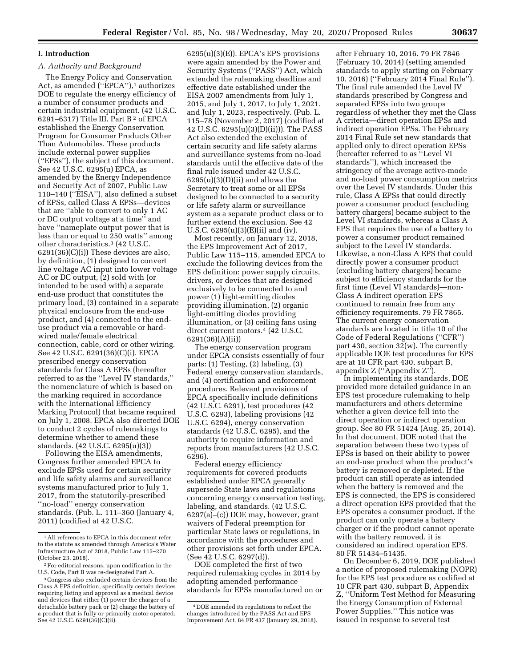# **I. Introduction**

# *A. Authority and Background*

The Energy Policy and Conservation Act, as amended ("EPCA"),<sup>1</sup> authorizes DOE to regulate the energy efficiency of a number of consumer products and certain industrial equipment. (42 U.S.C. 6291–6317) Title III, Part B 2 of EPCA established the Energy Conservation Program for Consumer Products Other Than Automobiles. These products include external power supplies (''EPSs''), the subject of this document. See 42 U.S.C. 6295(u) EPCA, as amended by the Energy Independence and Security Act of 2007, Public Law 110–140 (''EISA''), also defined a subset of EPSs, called Class A EPSs—devices that are ''able to convert to only 1 AC or DC output voltage at a time'' and have ''nameplate output power that is less than or equal to 250 watts'' among other characteristics.3 (42 U.S.C. 6291(36)(C)(i)) These devices are also, by definition, (1) designed to convert line voltage AC input into lower voltage AC or DC output, (2) sold with (or intended to be used with) a separate end-use product that constitutes the primary load, (3) contained in a separate physical enclosure from the end-use product, and (4) connected to the enduse product via a removable or hardwired male/female electrical connection, cable, cord or other wiring. See 42 U.S.C. 6291(36)(C)(i). EPCA prescribed energy conservation standards for Class A EPSs (hereafter referred to as the ''Level IV standards,'' the nomenclature of which is based on the marking required in accordance with the International Efficiency Marking Protocol) that became required on July 1, 2008. EPCA also directed DOE to conduct 2 cycles of rulemakings to determine whether to amend these standards. (42 U.S.C. 6295(u)(3))

Following the EISA amendments, Congress further amended EPCA to exclude EPSs used for certain security and life safety alarms and surveillance systems manufactured prior to July 1, 2017, from the statutorily-prescribed ''no-load'' energy conservation standards. (Pub. L. 111–360 (January 4, 2011) (codified at 42 U.S.C.

6295(u)(3)(E)). EPCA's EPS provisions were again amended by the Power and Security Systems (''PASS'') Act, which extended the rulemaking deadline and effective date established under the EISA 2007 amendments from July 1, 2015, and July 1, 2017, to July 1, 2021, and July 1, 2023, respectively. (Pub. L. 115–78 (November 2, 2017) (codified at 42 U.S.C. 6295(u)(3)(D)(ii))). The PASS Act also extended the exclusion of certain security and life safety alarms and surveillance systems from no-load standards until the effective date of the final rule issued under 42 U.S.C.  $6295(u)(3)(D)(ii)$  and allows the Secretary to treat some or all EPSs designed to be connected to a security or life safety alarm or surveillance system as a separate product class or to further extend the exclusion. See 42 U.S.C. 6295(u)(3)(E)(ii) and (iv).

Most recently, on January 12, 2018, the EPS Improvement Act of 2017, Public Law 115–115, amended EPCA to exclude the following devices from the EPS definition: power supply circuits, drivers, or devices that are designed exclusively to be connected to and power (1) light-emitting diodes providing illumination, (2) organic light-emitting diodes providing illumination, or (3) ceiling fans using direct current motors.4 (42 U.S.C. 6291(36)(A)(ii))

The energy conservation program under EPCA consists essentially of four parts: (1) Testing, (2) labeling, (3) Federal energy conservation standards, and (4) certification and enforcement procedures. Relevant provisions of EPCA specifically include definitions (42 U.S.C. 6291), test procedures (42 U.S.C. 6293), labeling provisions (42 U.S.C. 6294), energy conservation standards (42 U.S.C. 6295), and the authority to require information and reports from manufacturers (42 U.S.C. 6296).

Federal energy efficiency requirements for covered products established under EPCA generally supersede State laws and regulations concerning energy conservation testing, labeling, and standards. (42 U.S.C. 6297(a)–(c)) DOE may, however, grant waivers of Federal preemption for particular State laws or regulations, in accordance with the procedures and other provisions set forth under EPCA. (See 42 U.S.C. 6297(d)).

DOE completed the first of two required rulemaking cycles in 2014 by adopting amended performance standards for EPSs manufactured on or

after February 10, 2016. 79 FR 7846 (February 10, 2014) (setting amended standards to apply starting on February 10, 2016) (''February 2014 Final Rule''). The final rule amended the Level IV standards prescribed by Congress and separated EPSs into two groups regardless of whether they met the Class A criteria—direct operation EPSs and indirect operation EPSs. The February 2014 Final Rule set new standards that applied only to direct operation EPSs (hereafter referred to as ''Level VI standards''), which increased the stringency of the average active-mode and no-load power consumption metrics over the Level IV standards. Under this rule, Class A EPSs that could directly power a consumer product (excluding battery chargers) became subject to the Level VI standards, whereas a Class A EPS that requires the use of a battery to power a consumer product remained subject to the Level IV standards. Likewise, a non-Class A EPS that could directly power a consumer product (excluding battery chargers) became subject to efficiency standards for the first time (Level VI standards)—non-Class A indirect operation EPS continued to remain free from any efficiency requirements. 79 FR 7865. The current energy conservation standards are located in title 10 of the Code of Federal Regulations (''CFR'') part 430, section 32(w). The currently applicable DOE test procedures for EPS are at 10 CFR part 430, subpart B, appendix Z (''Appendix Z'').

In implementing its standards, DOE provided more detailed guidance in an EPS test procedure rulemaking to help manufacturers and others determine whether a given device fell into the direct operation or indirect operation group. See 80 FR 51424 (Aug. 25, 2014). In that document, DOE noted that the separation between these two types of EPSs is based on their ability to power an end-use product when the product's battery is removed or depleted. If the product can still operate as intended when the battery is removed and the EPS is connected, the EPS is considered a direct operation EPS provided that the EPS operates a consumer product. If the product can only operate a battery charger or if the product cannot operate with the battery removed, it is considered an indirect operation EPS. 80 FR 51434–51435.

On December 6, 2019, DOE published a notice of proposed rulemaking (NOPR) for the EPS test procedure as codified at 10 CFR part 430, subpart B, Appendix Z, ''Uniform Test Method for Measuring the Energy Consumption of External Power Supplies.'' This notice was issued in response to several test

<sup>1</sup>All references to EPCA in this document refer to the statute as amended through America's Water Infrastructure Act of 2018, Public Law 115–270 (October 23, 2018).

<sup>2</sup>For editorial reasons, upon codification in the U.S. Code, Part B was re-designated Part A.

<sup>3</sup>Congress also excluded certain devices from the Class A EPS definition, specifically certain devices requiring listing and approval as a medical device and devices that either (1) power the charger of a detachable battery pack or (2) charge the battery of a product that is fully or primarily motor operated. See 42 U.S.C. 6291(36)(C)(ii).

<sup>4</sup> DOE amended its regulations to reflect the changes introduced by the PASS Act and EPS Improvement Act. 84 FR 437 (January 29, 2018).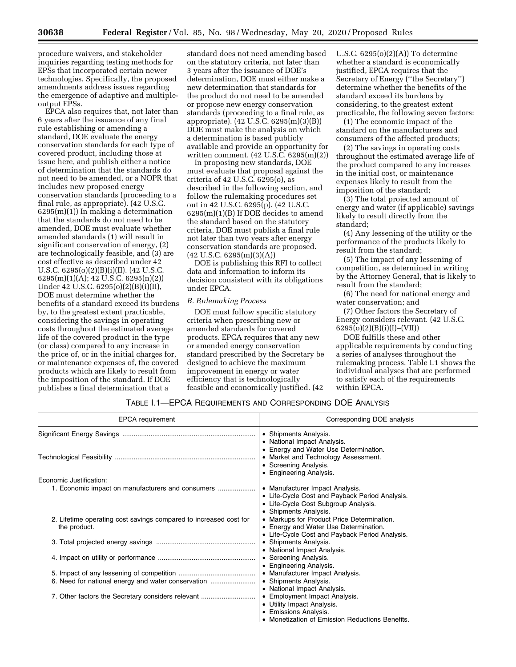procedure waivers, and stakeholder inquiries regarding testing methods for EPSs that incorporated certain newer technologies. Specifically, the proposed amendments address issues regarding the emergence of adaptive and multipleoutput EPSs.

EPCA also requires that, not later than 6 years after the issuance of any final rule establishing or amending a standard, DOE evaluate the energy conservation standards for each type of covered product, including those at issue here, and publish either a notice of determination that the standards do not need to be amended, or a NOPR that includes new proposed energy conservation standards (proceeding to a final rule, as appropriate). (42 U.S.C. 6295(m)(1)) In making a determination that the standards do not need to be amended, DOE must evaluate whether amended standards (1) will result in significant conservation of energy, (2) are technologically feasible, and (3) are cost effective as described under 42 U.S.C. 6295(o)(2)(B)(i)(II). (42 U.S.C. 6295(m)(1)(A); 42 U.S.C. 6295(n)(2)) Under 42 U.S.C. 6295(o)(2)(B)(i)(II), DOE must determine whether the benefits of a standard exceed its burdens by, to the greatest extent practicable, considering the savings in operating costs throughout the estimated average life of the covered product in the type (or class) compared to any increase in the price of, or in the initial charges for, or maintenance expenses of, the covered products which are likely to result from the imposition of the standard. If DOE publishes a final determination that a

standard does not need amending based on the statutory criteria, not later than 3 years after the issuance of DOE's determination, DOE must either make a new determination that standards for the product do not need to be amended or propose new energy conservation standards (proceeding to a final rule, as appropriate). (42 U.S.C. 6295(m)(3)(B)) DOE must make the analysis on which a determination is based publicly available and provide an opportunity for written comment. (42 U.S.C. 6295(m)(2))

In proposing new standards, DOE must evaluate that proposal against the criteria of 42 U.S.C. 6295(o), as described in the following section, and follow the rulemaking procedures set out in 42 U.S.C. 6295(p). (42 U.S.C. 6295(m)(1)(B) If DOE decides to amend the standard based on the statutory criteria, DOE must publish a final rule not later than two years after energy conservation standards are proposed.  $(42 \text{ U.S.C. } 6295 \text{ (m)}(3)(A))$ 

DOE is publishing this RFI to collect data and information to inform its decision consistent with its obligations under EPCA.

# *B. Rulemaking Process*

DOE must follow specific statutory criteria when prescribing new or amended standards for covered products. EPCA requires that any new or amended energy conservation standard prescribed by the Secretary be designed to achieve the maximum improvement in energy or water efficiency that is technologically feasible and economically justified. (42

U.S.C. 6295(o)(2)(A)) To determine whether a standard is economically justified, EPCA requires that the Secretary of Energy (''the Secretary'') determine whether the benefits of the standard exceed its burdens by considering, to the greatest extent practicable, the following seven factors:

(1) The economic impact of the standard on the manufacturers and consumers of the affected products;

(2) The savings in operating costs throughout the estimated average life of the product compared to any increases in the initial cost, or maintenance expenses likely to result from the imposition of the standard;

(3) The total projected amount of energy and water (if applicable) savings likely to result directly from the standard;

(4) Any lessening of the utility or the performance of the products likely to result from the standard;

(5) The impact of any lessening of competition, as determined in writing by the Attorney General, that is likely to result from the standard;

(6) The need for national energy and water conservation; and

(7) Other factors the Secretary of Energy considers relevant. (42 U.S.C. 6295(o)(2)(B)(i)(I)–(VII))

DOE fulfills these and other applicable requirements by conducting a series of analyses throughout the rulemaking process. Table I.1 shows the individual analyses that are performed to satisfy each of the requirements within EPCA.

# TABLE I.1—EPCA REQUIREMENTS AND CORRESPONDING DOE ANALYSIS

| <b>EPCA</b> requirement                                           | Corresponding DOE analysis                                                          |
|-------------------------------------------------------------------|-------------------------------------------------------------------------------------|
|                                                                   | • Shipments Analysis.                                                               |
|                                                                   | • National Impact Analysis.                                                         |
|                                                                   | • Energy and Water Use Determination.<br>• Market and Technology Assessment.        |
|                                                                   | • Screening Analysis.                                                               |
|                                                                   | • Engineering Analysis.                                                             |
| Economic Justification:                                           |                                                                                     |
| 1. Economic impact on manufacturers and consumers                 | • Manufacturer Impact Analysis.                                                     |
|                                                                   | • Life-Cycle Cost and Payback Period Analysis.                                      |
|                                                                   | • Life-Cycle Cost Subgroup Analysis.                                                |
|                                                                   | • Shipments Analysis.                                                               |
| 2. Lifetime operating cost savings compared to increased cost for | • Markups for Product Price Determination.<br>• Energy and Water Use Determination. |
| the product.                                                      | • Life-Cycle Cost and Payback Period Analysis.                                      |
|                                                                   | • Shipments Analysis.                                                               |
|                                                                   | • National Impact Analysis.                                                         |
|                                                                   | • Screening Analysis.                                                               |
|                                                                   | • Engineering Analysis.                                                             |
|                                                                   | • Manufacturer Impact Analysis.                                                     |
| 6. Need for national energy and water conservation                | • Shipments Analysis.                                                               |
|                                                                   | • National Impact Analysis.                                                         |
| 7. Other factors the Secretary considers relevant                 | • Employment Impact Analysis.                                                       |
|                                                                   | • Utility Impact Analysis.                                                          |
|                                                                   | • Emissions Analysis.                                                               |
|                                                                   | • Monetization of Emission Reductions Benefits.                                     |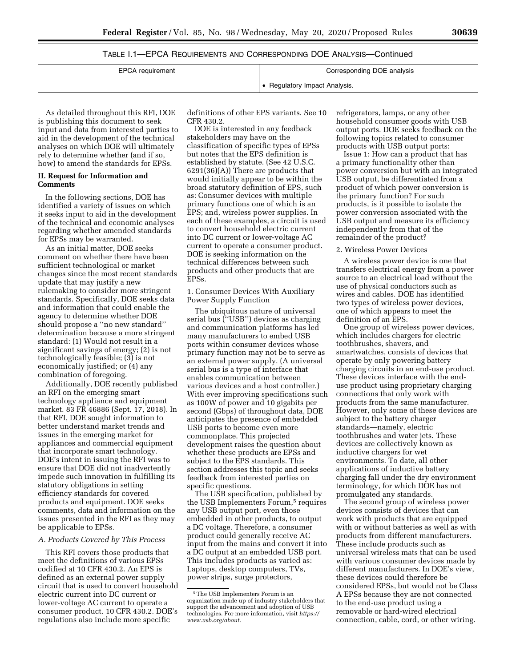# TABLE I.1—EPCA REQUIREMENTS AND CORRESPONDING DOE ANALYSIS—Continued

| EPCA requirement | Corresponding DOE analysis  |
|------------------|-----------------------------|
|                  | Regulatory Impact Analysis. |

As detailed throughout this RFI, DOE is publishing this document to seek input and data from interested parties to aid in the development of the technical analyses on which DOE will ultimately rely to determine whether (and if so, how) to amend the standards for EPSs.

## **II. Request for Information and Comments**

In the following sections, DOE has identified a variety of issues on which it seeks input to aid in the development of the technical and economic analyses regarding whether amended standards for EPSs may be warranted.

As an initial matter, DOE seeks comment on whether there have been sufficient technological or market changes since the most recent standards update that may justify a new rulemaking to consider more stringent standards. Specifically, DOE seeks data and information that could enable the agency to determine whether DOE should propose a ''no new standard'' determination because a more stringent standard: (1) Would not result in a significant savings of energy; (2) is not technologically feasible; (3) is not economically justified; or (4) any combination of foregoing.

Additionally, DOE recently published an RFI on the emerging smart technology appliance and equipment market. 83 FR 46886 (Sept. 17, 2018). In that RFI, DOE sought information to better understand market trends and issues in the emerging market for appliances and commercial equipment that incorporate smart technology. DOE's intent in issuing the RFI was to ensure that DOE did not inadvertently impede such innovation in fulfilling its statutory obligations in setting efficiency standards for covered products and equipment. DOE seeks comments, data and information on the issues presented in the RFI as they may be applicable to EPSs.

## *A. Products Covered by This Process*

This RFI covers those products that meet the definitions of various EPSs codified at 10 CFR 430.2. An EPS is defined as an external power supply circuit that is used to convert household electric current into DC current or lower-voltage AC current to operate a consumer product. 10 CFR 430.2. DOE's regulations also include more specific

definitions of other EPS variants. See 10 CFR 430.2.

DOE is interested in any feedback stakeholders may have on the classification of specific types of EPSs but notes that the EPS definition is established by statute. (See 42 U.S.C. 6291(36)(A)) There are products that would initially appear to be within the broad statutory definition of EPS, such as: Consumer devices with multiple primary functions one of which is an EPS; and, wireless power supplies. In each of these examples, a circuit is used to convert household electric current into DC current or lower-voltage AC current to operate a consumer product. DOE is seeking information on the technical differences between such products and other products that are EPSs.

1. Consumer Devices With Auxiliary Power Supply Function

The ubiquitous nature of universal serial bus (''USB'') devices as charging and communication platforms has led many manufacturers to embed USB ports within consumer devices whose primary function may not be to serve as an external power supply. (A universal serial bus is a type of interface that enables communication between various devices and a host controller.) With ever improving specifications such as 100W of power and 10 gigabits per second (Gbps) of throughout data, DOE anticipates the presence of embedded USB ports to become even more commonplace. This projected development raises the question about whether these products are EPSs and subject to the EPS standards. This section addresses this topic and seeks feedback from interested parties on specific questions.

The USB specification, published by the USB Implementers Forum,<sup>5</sup> requires any USB output port, even those embedded in other products, to output a DC voltage. Therefore, a consumer product could generally receive AC input from the mains and convert it into a DC output at an embedded USB port. This includes products as varied as: Laptops, desktop computers, TVs, power strips, surge protectors,

refrigerators, lamps, or any other household consumer goods with USB output ports. DOE seeks feedback on the following topics related to consumer products with USB output ports:

Issue 1: How can a product that has a primary functionality other than power conversion but with an integrated USB output, be differentiated from a product of which power conversion is the primary function? For such products, is it possible to isolate the power conversion associated with the USB output and measure its efficiency independently from that of the remainder of the product?

## 2. Wireless Power Devices

A wireless power device is one that transfers electrical energy from a power source to an electrical load without the use of physical conductors such as wires and cables. DOE has identified two types of wireless power devices, one of which appears to meet the definition of an EPS.

One group of wireless power devices, which includes chargers for electric toothbrushes, shavers, and smartwatches, consists of devices that operate by only powering battery charging circuits in an end-use product. These devices interface with the enduse product using proprietary charging connections that only work with products from the same manufacturer. However, only some of these devices are subject to the battery charger standards—namely, electric toothbrushes and water jets. These devices are collectively known as inductive chargers for wet environments. To date, all other applications of inductive battery charging fall under the dry environment terminology, for which DOE has not promulgated any standards.

The second group of wireless power devices consists of devices that can work with products that are equipped with or without batteries as well as with products from different manufacturers. These include products such as universal wireless mats that can be used with various consumer devices made by different manufacturers. In DOE's view, these devices could therefore be considered EPSs, but would not be Class A EPSs because they are not connected to the end-use product using a removable or hard-wired electrical connection, cable, cord, or other wiring.

<sup>5</sup>The USB Implementers Forum is an organization made up of industry stakeholders that support the advancement and adoption of USB technologies. For more information, visit *[https://](https://www.usb.org/about) [www.usb.org/about.](https://www.usb.org/about)*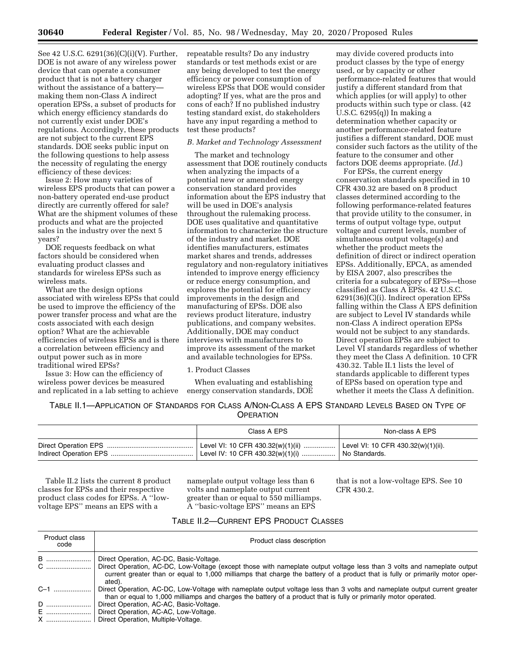See 42 U.S.C. 6291(36)(C)(i)(V). Further, DOE is not aware of any wireless power device that can operate a consumer product that is not a battery charger without the assistance of a battery making them non-Class A indirect operation EPSs, a subset of products for which energy efficiency standards do not currently exist under DOE's regulations. Accordingly, these products are not subject to the current EPS standards. DOE seeks public input on the following questions to help assess the necessity of regulating the energy efficiency of these devices:

Issue 2: How many varieties of wireless EPS products that can power a non-battery operated end-use product directly are currently offered for sale? What are the shipment volumes of these products and what are the projected sales in the industry over the next 5 years?

DOE requests feedback on what factors should be considered when evaluating product classes and standards for wireless EPSs such as wireless mats.

What are the design options associated with wireless EPSs that could be used to improve the efficiency of the power transfer process and what are the costs associated with each design option? What are the achievable efficiencies of wireless EPSs and is there a correlation between efficiency and output power such as in more traditional wired EPSs?

Issue 3: How can the efficiency of wireless power devices be measured and replicated in a lab setting to achieve repeatable results? Do any industry standards or test methods exist or are any being developed to test the energy efficiency or power consumption of wireless EPSs that DOE would consider adopting? If yes, what are the pros and cons of each? If no published industry testing standard exist, do stakeholders have any input regarding a method to test these products?

# *B. Market and Technology Assessment*

The market and technology assessment that DOE routinely conducts when analyzing the impacts of a potential new or amended energy conservation standard provides information about the EPS industry that will be used in DOE's analysis throughout the rulemaking process. DOE uses qualitative and quantitative information to characterize the structure of the industry and market. DOE identifies manufacturers, estimates market shares and trends, addresses regulatory and non-regulatory initiatives intended to improve energy efficiency or reduce energy consumption, and explores the potential for efficiency improvements in the design and manufacturing of EPSs. DOE also reviews product literature, industry publications, and company websites. Additionally, DOE may conduct interviews with manufacturers to improve its assessment of the market and available technologies for EPSs.

## 1. Product Classes

When evaluating and establishing energy conservation standards, DOE

may divide covered products into product classes by the type of energy used, or by capacity or other performance-related features that would justify a different standard from that which applies (or will apply) to other products within such type or class. (42 U.S.C. 6295(q)) In making a determination whether capacity or another performance-related feature justifies a different standard, DOE must consider such factors as the utility of the feature to the consumer and other factors DOE deems appropriate. (*Id.*)

For EPSs, the current energy conservation standards specified in 10 CFR 430.32 are based on 8 product classes determined according to the following performance-related features that provide utility to the consumer, in terms of output voltage type, output voltage and current levels, number of simultaneous output voltage(s) and whether the product meets the definition of direct or indirect operation EPSs. Additionally, EPCA, as amended by EISA 2007, also prescribes the criteria for a subcategory of EPSs—those classified as Class A EPSs. 42 U.S.C. 6291(36)(C)(i). Indirect operation EPSs falling within the Class A EPS definition are subject to Level IV standards while non-Class A indirect operation EPSs would not be subject to any standards. Direct operation EPSs are subject to Level VI standards regardless of whether they meet the Class A definition. 10 CFR 430.32. Table II.1 lists the level of standards applicable to different types of EPSs based on operation type and whether it meets the Class A definition.

TABLE II.1—APPLICATION OF STANDARDS FOR CLASS A/NON-CLASS A EPS STANDARD LEVELS BASED ON TYPE OF **OPERATION** 

| Class A EPS                                                                                                                | Non-class A EPS |
|----------------------------------------------------------------------------------------------------------------------------|-----------------|
| Level VI: 10 CFR 430.32(w)(1)(ii)    Level VI: 10 CFR 430.32(w)(1)(ii).<br>Level IV: 10 CFR 430.32(w)(1)(i)  No Standards. |                 |

Table II.2 lists the current 8 product classes for EPSs and their respective product class codes for EPSs. A ''lowvoltage EPS'' means an EPS with a

nameplate output voltage less than 6 volts and nameplate output current greater than or equal to 550 milliamps. A ''basic-voltage EPS'' means an EPS

that is not a low-voltage EPS. See 10 CFR 430.2.

# TABLE II.2—CURRENT EPS PRODUCT CLASSES

| Product class<br>code | Product class description                                                                                                                                                                                                                                         |
|-----------------------|-------------------------------------------------------------------------------------------------------------------------------------------------------------------------------------------------------------------------------------------------------------------|
| B                     | Direct Operation, AC-DC, Basic-Voltage.                                                                                                                                                                                                                           |
| C                     | Direct Operation, AC-DC, Low-Voltage (except those with nameplate output voltage less than 3 volts and nameplate output<br>current greater than or equal to 1,000 milliamps that charge the battery of a product that is fully or primarily motor oper-<br>ated). |
| $C-1$                 | Direct Operation, AC-DC, Low-Voltage with nameplate output voltage less than 3 volts and nameplate output current greater<br>than or equal to 1,000 milliamps and charges the battery of a product that is fully or primarily motor operated.                     |
| D                     | Direct Operation, AC-AC, Basic-Voltage.                                                                                                                                                                                                                           |
| E ………………………           | Direct Operation, AC-AC, Low-Voltage.                                                                                                                                                                                                                             |
| X                     | Direct Operation, Multiple-Voltage.                                                                                                                                                                                                                               |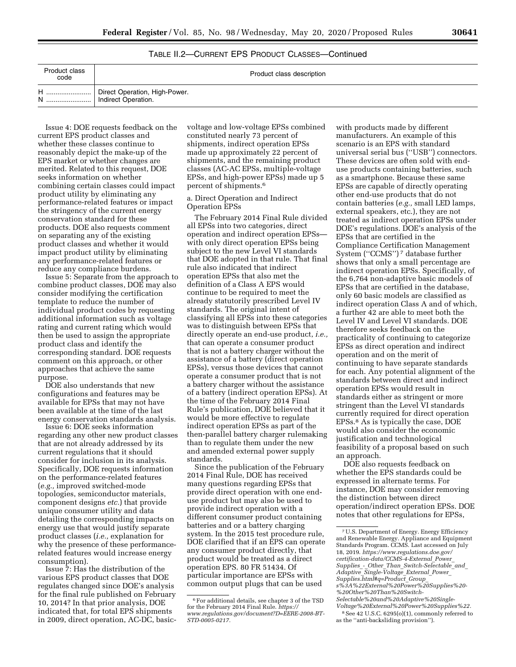TABLE II.2—CURRENT EPS PRODUCT CLASSES—Continued

| Product class<br>code | Product class description                            |
|-----------------------|------------------------------------------------------|
| N                     | Direct Operation, High-Power.<br>Indirect Operation. |

Issue 4: DOE requests feedback on the current EPS product classes and whether these classes continue to reasonably depict the make-up of the EPS market or whether changes are merited. Related to this request, DOE seeks information on whether combining certain classes could impact product utility by eliminating any performance-related features or impact the stringency of the current energy conservation standard for these products. DOE also requests comment on separating any of the existing product classes and whether it would impact product utility by eliminating any performance-related features or reduce any compliance burdens.

Issue 5: Separate from the approach to combine product classes, DOE may also consider modifying the certification template to reduce the number of individual product codes by requesting additional information such as voltage rating and current rating which would then be used to assign the appropriate product class and identify the corresponding standard. DOE requests comment on this approach, or other approaches that achieve the same purpose.

DOE also understands that new configurations and features may be available for EPSs that may not have been available at the time of the last energy conservation standards analysis.

Issue 6: DOE seeks information regarding any other new product classes that are not already addressed by its current regulations that it should consider for inclusion in its analysis. Specifically, DOE requests information on the performance-related features (*e.g.,* improved switched-mode topologies, semiconductor materials, component designs *etc.*) that provide unique consumer utility and data detailing the corresponding impacts on energy use that would justify separate product classes (*i.e.,* explanation for why the presence of these performancerelated features would increase energy consumption).

Issue 7: Has the distribution of the various EPS product classes that DOE regulates changed since DOE's analysis for the final rule published on February 10, 2014? In that prior analysis, DOE indicated that, for total EPS shipments in 2009, direct operation, AC-DC, basicvoltage and low-voltage EPSs combined constituted nearly 73 percent of shipments, indirect operation EPSs made up approximately 22 percent of shipments, and the remaining product classes (AC-AC EPSs, multiple-voltage EPSs, and high-power EPSs) made up 5 percent of shipments.6

# a. Direct Operation and Indirect Operation EPSs

The February 2014 Final Rule divided all EPSs into two categories, direct operation and indirect operation EPSs with only direct operation EPSs being subject to the new Level VI standards that DOE adopted in that rule. That final rule also indicated that indirect operation EPSs that also met the definition of a Class A EPS would continue to be required to meet the already statutorily prescribed Level IV standards. The original intent of classifying all EPSs into these categories was to distinguish between EPSs that directly operate an end-use product, *i.e.,*  that can operate a consumer product that is not a battery charger without the assistance of a battery (direct operation EPSs), versus those devices that cannot operate a consumer product that is not a battery charger without the assistance of a battery (indirect operation EPSs). At the time of the February 2014 Final Rule's publication, DOE believed that it would be more effective to regulate indirect operation EPSs as part of the then-parallel battery charger rulemaking than to regulate them under the new and amended external power supply standards.

Since the publication of the February 2014 Final Rule, DOE has received many questions regarding EPSs that provide direct operation with one enduse product but may also be used to provide indirect operation with a different consumer product containing batteries and or a battery charging system. In the 2015 test procedure rule, DOE clarified that if an EPS can operate any consumer product directly, that product would be treated as a direct operation EPS. 80 FR 51434. Of particular importance are EPSs with common output plugs that can be used

with products made by different manufacturers. An example of this scenario is an EPS with standard universal serial bus (''USB'') connectors. These devices are often sold with enduse products containing batteries, such as a smartphone. Because these same EPSs are capable of directly operating other end-use products that do not contain batteries (*e.g.,* small LED lamps, external speakers, etc.), they are not treated as indirect operation EPSs under DOE's regulations. DOE's analysis of the EPSs that are certified in the Compliance Certification Management System (''CCMS'') 7 database further shows that only a small percentage are indirect operation EPSs. Specifically, of the 6,764 non-adaptive basic models of EPSs that are certified in the database, only 60 basic models are classified as indirect operation Class A and of which, a further 42 are able to meet both the Level IV and Level VI standards. DOE therefore seeks feedback on the practicality of continuing to categorize EPSs as direct operation and indirect operation and on the merit of continuing to have separate standards for each. Any potential alignment of the standards between direct and indirect operation EPSs would result in standards either as stringent or more stringent than the Level VI standards currently required for direct operation EPSs.8 As is typically the case, DOE would also consider the economic justification and technological feasibility of a proposal based on such an approach.

DOE also requests feedback on whether the EPS standards could be expressed in alternate terms. For instance, DOE may consider removing the distinction between direct operation/indirect operation EPSs. DOE notes that other regulations for EPSs,

<sup>6</sup>For additional details, see chapter 3 of the TSD for the February 2014 Final Rule. *[https://](https://www.regulations.gov/document?D=EERE-2008-BT-STD-0005-0217) [www.regulations.gov/document?D=EERE-2008-BT-](https://www.regulations.gov/document?D=EERE-2008-BT-STD-0005-0217)[STD-0005-0217.](https://www.regulations.gov/document?D=EERE-2008-BT-STD-0005-0217)* 

<sup>7</sup>U.S. Department of Energy. Energy Efficiency and Renewable Energy. Appliance and Equipment Standards Program. CCMS. Last accessed on July 18, 2019. *[https://www.regulations.doe.gov/](https://www.regulations.doe.gov/certification-data/CCMS-4-External_Power_Supplies_-_Other_Than_Switch-Selectable_and_Adaptive_Single-Voltage_External_Power_Supplies.html#q=Product_Group_s%3A%22External%20Power%20Supplies%20-%20Other%20Than%20Switch-Selectable%20and%20Adaptive%20Single-Voltage%20External%20Power%20Supplies%22)  [certification-data/CCMS-4-External](https://www.regulations.doe.gov/certification-data/CCMS-4-External_Power_Supplies_-_Other_Than_Switch-Selectable_and_Adaptive_Single-Voltage_External_Power_Supplies.html#q=Product_Group_s%3A%22External%20Power%20Supplies%20-%20Other%20Than%20Switch-Selectable%20and%20Adaptive%20Single-Voltage%20External%20Power%20Supplies%22)*\_*Power*\_ *Supplies*\_*-*\_*Other*\_*Than*\_*[Switch-Selectable](https://www.regulations.doe.gov/certification-data/CCMS-4-External_Power_Supplies_-_Other_Than_Switch-Selectable_and_Adaptive_Single-Voltage_External_Power_Supplies.html#q=Product_Group_s%3A%22External%20Power%20Supplies%20-%20Other%20Than%20Switch-Selectable%20and%20Adaptive%20Single-Voltage%20External%20Power%20Supplies%22)*\_*and*\_ *Adaptive*\_*[Single-Voltage](https://www.regulations.doe.gov/certification-data/CCMS-4-External_Power_Supplies_-_Other_Than_Switch-Selectable_and_Adaptive_Single-Voltage_External_Power_Supplies.html#q=Product_Group_s%3A%22External%20Power%20Supplies%20-%20Other%20Than%20Switch-Selectable%20and%20Adaptive%20Single-Voltage%20External%20Power%20Supplies%22)*\_*External*\_*Power*\_ *[Supplies.html#q=Product](https://www.regulations.doe.gov/certification-data/CCMS-4-External_Power_Supplies_-_Other_Than_Switch-Selectable_and_Adaptive_Single-Voltage_External_Power_Supplies.html#q=Product_Group_s%3A%22External%20Power%20Supplies%20-%20Other%20Than%20Switch-Selectable%20and%20Adaptive%20Single-Voltage%20External%20Power%20Supplies%22)*\_*Group*\_ *[s%3A%22External%20Power%20Supplies%20-](https://www.regulations.doe.gov/certification-data/CCMS-4-External_Power_Supplies_-_Other_Than_Switch-Selectable_and_Adaptive_Single-Voltage_External_Power_Supplies.html#q=Product_Group_s%3A%22External%20Power%20Supplies%20-%20Other%20Than%20Switch-Selectable%20and%20Adaptive%20Single-Voltage%20External%20Power%20Supplies%22) [%20Other%20Than%20Switch-](https://www.regulations.doe.gov/certification-data/CCMS-4-External_Power_Supplies_-_Other_Than_Switch-Selectable_and_Adaptive_Single-Voltage_External_Power_Supplies.html#q=Product_Group_s%3A%22External%20Power%20Supplies%20-%20Other%20Than%20Switch-Selectable%20and%20Adaptive%20Single-Voltage%20External%20Power%20Supplies%22)[Selectable%20and%20Adaptive%20Single-](https://www.regulations.doe.gov/certification-data/CCMS-4-External_Power_Supplies_-_Other_Than_Switch-Selectable_and_Adaptive_Single-Voltage_External_Power_Supplies.html#q=Product_Group_s%3A%22External%20Power%20Supplies%20-%20Other%20Than%20Switch-Selectable%20and%20Adaptive%20Single-Voltage%20External%20Power%20Supplies%22)[Voltage%20External%20Power%20Supplies%22.](https://www.regulations.doe.gov/certification-data/CCMS-4-External_Power_Supplies_-_Other_Than_Switch-Selectable_and_Adaptive_Single-Voltage_External_Power_Supplies.html#q=Product_Group_s%3A%22External%20Power%20Supplies%20-%20Other%20Than%20Switch-Selectable%20and%20Adaptive%20Single-Voltage%20External%20Power%20Supplies%22)* 

<sup>8</sup>See 42 U.S.C. 6295(o)(1), commonly referred to as the ''anti-backsliding provision'').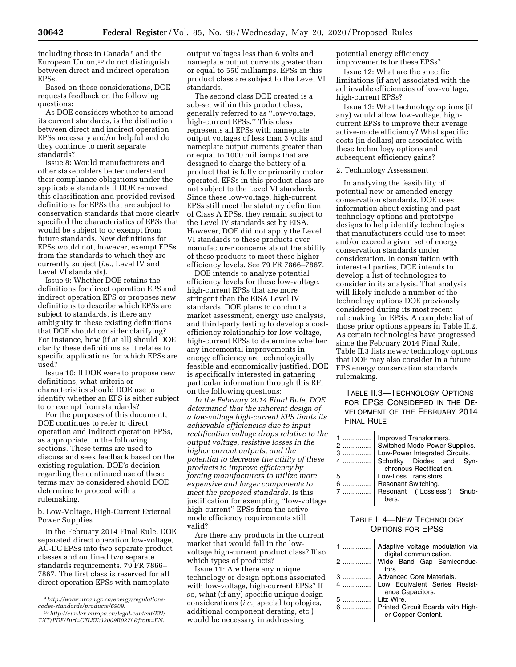including those in Canada 9 and the European Union,10 do not distinguish between direct and indirect operation EPSs.

Based on these considerations, DOE requests feedback on the following questions:

As DOE considers whether to amend its current standards, is the distinction between direct and indirect operation EPSs necessary and/or helpful and do they continue to merit separate standards?

Issue 8: Would manufacturers and other stakeholders better understand their compliance obligations under the applicable standards if DOE removed this classification and provided revised definitions for EPSs that are subject to conservation standards that more clearly specified the characteristics of EPSs that would be subject to or exempt from future standards. New definitions for EPSs would not, however, exempt EPSs from the standards to which they are currently subject (*i.e.,* Level IV and Level VI standards).

Issue 9: Whether DOE retains the definitions for direct operation EPS and indirect operation EPS or proposes new definitions to describe which EPSs are subject to standards, is there any ambiguity in these existing definitions that DOE should consider clarifying? For instance, how (if at all) should DOE clarify these definitions as it relates to specific applications for which EPSs are used?

Issue 10: If DOE were to propose new definitions, what criteria or characteristics should DOE use to identify whether an EPS is either subject to or exempt from standards?

For the purposes of this document, DOE continues to refer to direct operation and indirect operation EPSs, as appropriate, in the following sections. These terms are used to discuss and seek feedback based on the existing regulation. DOE's decision regarding the continued use of these terms may be considered should DOE determine to proceed with a rulemaking.

b. Low-Voltage, High-Current External Power Supplies

In the February 2014 Final Rule, DOE separated direct operation low-voltage, AC-DC EPSs into two separate product classes and outlined two separate standards requirements. 79 FR 7866– 7867. The first class is reserved for all direct operation EPSs with nameplate

output voltages less than 6 volts and nameplate output currents greater than or equal to 550 milliamps. EPSs in this product class are subject to the Level VI standards.

The second class DOE created is a sub-set within this product class, generally referred to as ''low-voltage, high-current EPSs.'' This class represents all EPSs with nameplate output voltages of less than 3 volts and nameplate output currents greater than or equal to 1000 milliamps that are designed to charge the battery of a product that is fully or primarily motor operated. EPSs in this product class are not subject to the Level VI standards. Since these low-voltage, high-current EPSs still meet the statutory definition of Class A EPSs, they remain subject to the Level IV standards set by EISA. However, DOE did not apply the Level VI standards to these products over manufacturer concerns about the ability of these products to meet these higher efficiency levels. See 79 FR 7866–7867.

DOE intends to analyze potential efficiency levels for these low-voltage, high-current EPSs that are more stringent than the EISA Level IV standards. DOE plans to conduct a market assessment, energy use analysis, and third-party testing to develop a costefficiency relationship for low-voltage, high-current EPSs to determine whether any incremental improvements in energy efficiency are technologically feasible and economically justified. DOE is specifically interested in gathering particular information through this RFI on the following questions:

*In the February 2014 Final Rule, DOE determined that the inherent design of a low-voltage high-current EPS limits its achievable efficiencies due to input rectification voltage drops relative to the output voltage, resistive losses in the higher current outputs, and the potential to decrease the utility of these products to improve efficiency by forcing manufacturers to utilize more expensive and larger components to meet the proposed standards.* Is this justification for exempting ''low-voltage, high-current'' EPSs from the active mode efficiency requirements still valid?

Are there any products in the current market that would fall in the lowvoltage high-current product class? If so, which types of products?

Issue 11: Are there any unique technology or design options associated with low-voltage, high-current EPSs? If so, what (if any) specific unique design considerations (*i.e.,* special topologies, additional component derating, etc.) would be necessary in addressing

potential energy efficiency improvements for these EPSs?

Issue 12: What are the specific limitations (if any) associated with the achievable efficiencies of low-voltage, high-current EPSs?

Issue 13: What technology options (if any) would allow low-voltage, highcurrent EPSs to improve their average active-mode efficiency? What specific costs (in dollars) are associated with these technology options and subsequent efficiency gains?

2. Technology Assessment

In analyzing the feasibility of potential new or amended energy conservation standards, DOE uses information about existing and past technology options and prototype designs to help identify technologies that manufacturers could use to meet and/or exceed a given set of energy conservation standards under consideration. In consultation with interested parties, DOE intends to develop a list of technologies to consider in its analysis. That analysis will likely include a number of the technology options DOE previously considered during its most recent rulemaking for EPSs. A complete list of those prior options appears in Table II.2. As certain technologies have progressed since the February 2014 Final Rule, Table II.3 lists newer technology options that DOE may also consider in a future EPS energy conservation standards rulemaking.

# TABLE II.3—TECHNOLOGY OPTIONS FOR EPSS CONSIDERED IN THE DE-VELOPMENT OF THE FEBRUARY 2014 FINAL RULE

| hers |  |                                                                                                                                                                                                                                 |
|------|--|---------------------------------------------------------------------------------------------------------------------------------------------------------------------------------------------------------------------------------|
|      |  | Improved Transformers.<br>Switched-Mode Power Supplies.<br>Low-Power Integrated Circuits.<br>Schottky Diodes and Syn-<br>chronous Rectification.<br>Low-Loss Transistors.<br>Resonant Switching.<br>Resonant ("Lossless") Snub- |

# TABLE II.4—NEW TECHNOLOGY OPTIONS FOR EPSS

| $1$ | Adaptive voltage modulation via<br>digital communication. |
|-----|-----------------------------------------------------------|
| 2   | Wide Band Gap Semiconduc-<br>tors.                        |
| 3   | <b>Advanced Core Materials.</b>                           |
|     | 4    Low Equivalent Series Resist-<br>ance Capacitors.    |
| 5   | Litz Wire.                                                |
|     | 6  Printed Circuit Boards with High-                      |
|     | er Copper Content.                                        |

<sup>9</sup>*[http://www.nrcan.gc.ca/energy/regulations](http://www.nrcan.gc.ca/energy/regulations-codes-standards/products/6909)[codes-standards/products/6909.](http://www.nrcan.gc.ca/energy/regulations-codes-standards/products/6909)* 

<sup>10</sup>*[http://eur-lex.europa.eu/legal-content/EN/](http://eur-lex.europa.eu/legal-content/EN/TXT/PDF/?uri=CELEX:32009R0278&from=EN) [TXT/PDF/?uri=CELEX:32009R0278&from=EN.](http://eur-lex.europa.eu/legal-content/EN/TXT/PDF/?uri=CELEX:32009R0278&from=EN)*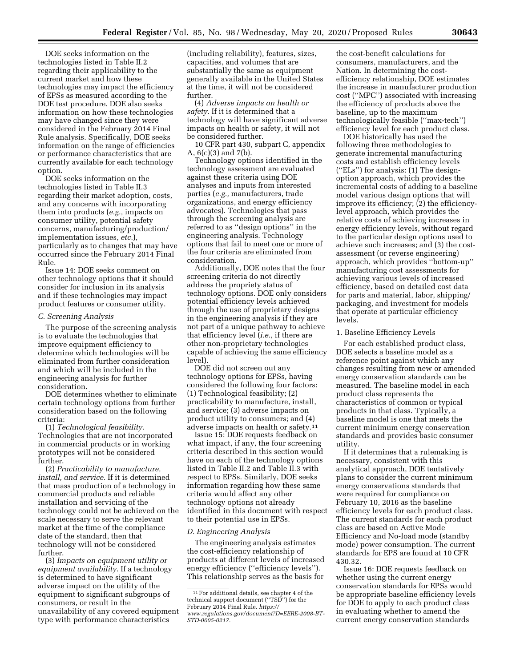DOE seeks information on the technologies listed in Table II.2 regarding their applicability to the current market and how these technologies may impact the efficiency of EPSs as measured according to the DOE test procedure. DOE also seeks information on how these technologies may have changed since they were considered in the February 2014 Final Rule analysis. Specifically, DOE seeks information on the range of efficiencies or performance characteristics that are currently available for each technology option.

DOE seeks information on the technologies listed in Table II.3 regarding their market adoption, costs, and any concerns with incorporating them into products (*e.g.,* impacts on consumer utility, potential safety concerns, manufacturing/production/ implementation issues, *etc.*), particularly as to changes that may have occurred since the February 2014 Final Rule.

Issue 14: DOE seeks comment on other technology options that it should consider for inclusion in its analysis and if these technologies may impact product features or consumer utility.

#### *C. Screening Analysis*

The purpose of the screening analysis is to evaluate the technologies that improve equipment efficiency to determine which technologies will be eliminated from further consideration and which will be included in the engineering analysis for further consideration.

DOE determines whether to eliminate certain technology options from further consideration based on the following criteria:

(1) *Technological feasibility.*  Technologies that are not incorporated in commercial products or in working prototypes will not be considered further.

(2) *Practicability to manufacture, install, and service.* If it is determined that mass production of a technology in commercial products and reliable installation and servicing of the technology could not be achieved on the scale necessary to serve the relevant market at the time of the compliance date of the standard, then that technology will not be considered further.

(3) *Impacts on equipment utility or equipment availability.* If a technology is determined to have significant adverse impact on the utility of the equipment to significant subgroups of consumers, or result in the unavailability of any covered equipment type with performance characteristics

(including reliability), features, sizes, capacities, and volumes that are substantially the same as equipment generally available in the United States at the time, it will not be considered further.

(4) *Adverse impacts on health or safety.* If it is determined that a technology will have significant adverse impacts on health or safety, it will not be considered further.

10 CFR part 430, subpart C, appendix A, 6(c)(3) and 7(b).

Technology options identified in the technology assessment are evaluated against these criteria using DOE analyses and inputs from interested parties (*e.g.,* manufacturers, trade organizations, and energy efficiency advocates). Technologies that pass through the screening analysis are referred to as ''design options'' in the engineering analysis. Technology options that fail to meet one or more of the four criteria are eliminated from consideration.

Additionally, DOE notes that the four screening criteria do not directly address the propriety status of technology options. DOE only considers potential efficiency levels achieved through the use of proprietary designs in the engineering analysis if they are not part of a unique pathway to achieve that efficiency level (*i.e.,* if there are other non-proprietary technologies capable of achieving the same efficiency level).

DOE did not screen out any technology options for EPSs, having considered the following four factors: (1) Technological feasibility; (2) practicability to manufacture, install, and service; (3) adverse impacts on product utility to consumers; and (4) adverse impacts on health or safety.11

Issue 15: DOE requests feedback on what impact, if any, the four screening criteria described in this section would have on each of the technology options listed in Table II.2 and Table II.3 with respect to EPSs. Similarly, DOE seeks information regarding how these same criteria would affect any other technology options not already identified in this document with respect to their potential use in EPSs.

#### *D. Engineering Analysis*

The engineering analysis estimates the cost-efficiency relationship of products at different levels of increased energy efficiency (''efficiency levels''). This relationship serves as the basis for

the cost-benefit calculations for consumers, manufacturers, and the Nation. In determining the costefficiency relationship, DOE estimates the increase in manufacturer production cost (''MPC'') associated with increasing the efficiency of products above the baseline, up to the maximum technologically feasible (''max-tech'') efficiency level for each product class.

DOE historically has used the following three methodologies to generate incremental manufacturing costs and establish efficiency levels (''ELs'') for analysis: (1) The designoption approach, which provides the incremental costs of adding to a baseline model various design options that will improve its efficiency; (2) the efficiencylevel approach, which provides the relative costs of achieving increases in energy efficiency levels, without regard to the particular design options used to achieve such increases; and (3) the costassessment (or reverse engineering) approach, which provides ''bottom-up'' manufacturing cost assessments for achieving various levels of increased efficiency, based on detailed cost data for parts and material, labor, shipping/ packaging, and investment for models that operate at particular efficiency levels.

## 1. Baseline Efficiency Levels

For each established product class, DOE selects a baseline model as a reference point against which any changes resulting from new or amended energy conservation standards can be measured. The baseline model in each product class represents the characteristics of common or typical products in that class. Typically, a baseline model is one that meets the current minimum energy conservation standards and provides basic consumer utility.

If it determines that a rulemaking is necessary, consistent with this analytical approach, DOE tentatively plans to consider the current minimum energy conservations standards that were required for compliance on February 10, 2016 as the baseline efficiency levels for each product class. The current standards for each product class are based on Active Mode Efficiency and No-load mode (standby mode) power consumption. The current standards for EPS are found at 10 CFR 430.32.

Issue 16: DOE requests feedback on whether using the current energy conservation standards for EPSs would be appropriate baseline efficiency levels for DOE to apply to each product class in evaluating whether to amend the current energy conservation standards

<sup>11</sup>For additional details, see chapter 4 of the technical support document (''TSD'') for the February 2014 Final Rule. *[https://](https://www.regulations.gov/document?D=EERE-2008-BT-STD-0005-0217) [www.regulations.gov/document?D=EERE-2008-BT-](https://www.regulations.gov/document?D=EERE-2008-BT-STD-0005-0217)[STD-0005-0217.](https://www.regulations.gov/document?D=EERE-2008-BT-STD-0005-0217)*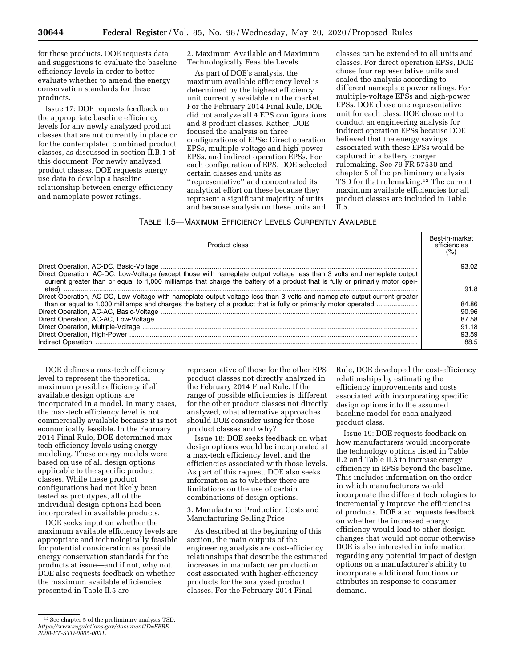for these products. DOE requests data and suggestions to evaluate the baseline efficiency levels in order to better evaluate whether to amend the energy conservation standards for these products.

Issue 17: DOE requests feedback on the appropriate baseline efficiency levels for any newly analyzed product classes that are not currently in place or for the contemplated combined product classes, as discussed in section II.B.1 of this document. For newly analyzed product classes, DOE requests energy use data to develop a baseline relationship between energy efficiency and nameplate power ratings.

2. Maximum Available and Maximum Technologically Feasible Levels

As part of DOE's analysis, the maximum available efficiency level is determined by the highest efficiency unit currently available on the market. For the February 2014 Final Rule, DOE did not analyze all 4 EPS configurations and 8 product classes. Rather, DOE focused the analysis on three configurations of EPSs: Direct operation EPSs, multiple-voltage and high-power EPSs, and indirect operation EPSs. For each configuration of EPS, DOE selected certain classes and units as ''representative'' and concentrated its analytical effort on these because they represent a significant majority of units and because analysis on these units and

classes can be extended to all units and classes. For direct operation EPSs, DOE chose four representative units and scaled the analysis according to different nameplate power ratings. For multiple-voltage EPSs and high-power EPSs, DOE chose one representative unit for each class. DOE chose not to conduct an engineering analysis for indirect operation EPSs because DOE believed that the energy savings associated with these EPSs would be captured in a battery charger rulemaking. See 79 FR 57530 and chapter 5 of the preliminary analysis TSD for that rulemaking.12 The current maximum available efficiencies for all product classes are included in Table II.5.

# TABLE II.5—MAXIMUM EFFICIENCY LEVELS CURRENTLY AVAILABLE

| Product class                                                                                                                                                                                                                                | Best-in-market<br>efficiencies<br>(%) |
|----------------------------------------------------------------------------------------------------------------------------------------------------------------------------------------------------------------------------------------------|---------------------------------------|
| Direct Operation, AC-DC, Low-Voltage (except those with nameplate output voltage less than 3 volts and nameplate output                                                                                                                      | 93.02                                 |
| current greater than or equal to 1,000 milliamps that charge the battery of a product that is fully or primarily motor oper-                                                                                                                 | 91.8                                  |
| Direct Operation, AC-DC, Low-Voltage with nameplate output voltage less than 3 volts and nameplate output current greater<br>than or equal to 1,000 milliamps and charges the battery of a product that is fully or primarily motor operated | 84.86                                 |
|                                                                                                                                                                                                                                              | 90.96                                 |
|                                                                                                                                                                                                                                              | 87.58                                 |
|                                                                                                                                                                                                                                              | 91.18                                 |
|                                                                                                                                                                                                                                              | 93.59                                 |
|                                                                                                                                                                                                                                              | 88.5                                  |

DOE defines a max-tech efficiency level to represent the theoretical maximum possible efficiency if all available design options are incorporated in a model. In many cases, the max-tech efficiency level is not commercially available because it is not economically feasible. In the February 2014 Final Rule, DOE determined maxtech efficiency levels using energy modeling. These energy models were based on use of all design options applicable to the specific product classes. While these product configurations had not likely been tested as prototypes, all of the individual design options had been incorporated in available products.

DOE seeks input on whether the maximum available efficiency levels are appropriate and technologically feasible for potential consideration as possible energy conservation standards for the products at issue—and if not, why not. DOE also requests feedback on whether the maximum available efficiencies presented in Table II.5 are

representative of those for the other EPS product classes not directly analyzed in the February 2014 Final Rule. If the range of possible efficiencies is different for the other product classes not directly analyzed, what alternative approaches should DOE consider using for those product classes and why?

Issue 18: DOE seeks feedback on what design options would be incorporated at a max-tech efficiency level, and the efficiencies associated with those levels. As part of this request, DOE also seeks information as to whether there are limitations on the use of certain combinations of design options.

3. Manufacturer Production Costs and Manufacturing Selling Price

As described at the beginning of this section, the main outputs of the engineering analysis are cost-efficiency relationships that describe the estimated increases in manufacturer production cost associated with higher-efficiency products for the analyzed product classes. For the February 2014 Final

Rule, DOE developed the cost-efficiency relationships by estimating the efficiency improvements and costs associated with incorporating specific design options into the assumed baseline model for each analyzed product class.

Issue 19: DOE requests feedback on how manufacturers would incorporate the technology options listed in Table II.2 and Table II.3 to increase energy efficiency in EPSs beyond the baseline. This includes information on the order in which manufacturers would incorporate the different technologies to incrementally improve the efficiencies of products. DOE also requests feedback on whether the increased energy efficiency would lead to other design changes that would not occur otherwise. DOE is also interested in information regarding any potential impact of design options on a manufacturer's ability to incorporate additional functions or attributes in response to consumer demand.

<sup>12</sup>See chapter 5 of the preliminary analysis TSD. *[https://www.regulations.gov/document?D=EERE-](https://www.regulations.gov/document?D=EERE-2008-BT-STD-0005-0031)[2008-BT-STD-0005-0031.](https://www.regulations.gov/document?D=EERE-2008-BT-STD-0005-0031)*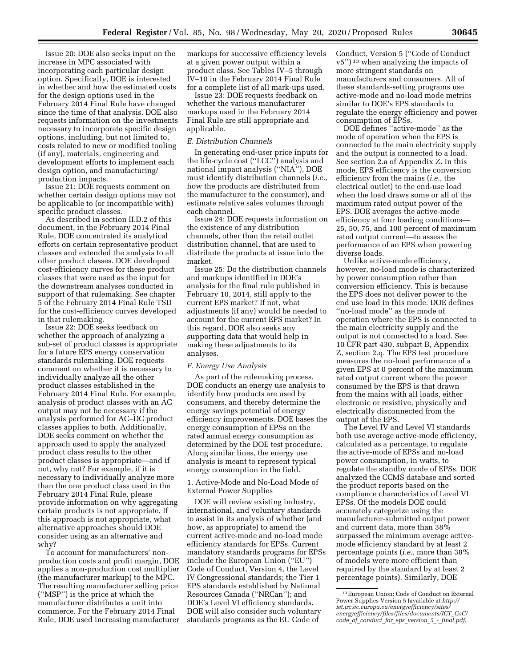Issue 20: DOE also seeks input on the increase in MPC associated with incorporating each particular design option. Specifically, DOE is interested in whether and how the estimated costs for the design options used in the February 2014 Final Rule have changed since the time of that analysis. DOE also requests information on the investments necessary to incorporate specific design options, including, but not limited to, costs related to new or modified tooling (if any), materials, engineering and development efforts to implement each design option, and manufacturing/ production impacts.

Issue 21: DOE requests comment on whether certain design options may not be applicable to (or incompatible with) specific product classes.

As described in section II.D.2 of this document, in the February 2014 Final Rule, DOE concentrated its analytical efforts on certain representative product classes and extended the analysis to all other product classes. DOE developed cost-efficiency curves for these product classes that were used as the input for the downstream analyses conducted in support of that rulemaking. See chapter 5 of the February 2014 Final Rule TSD for the cost-efficiency curves developed in that rulemaking.

Issue 22: DOE seeks feedback on whether the approach of analyzing a sub-set of product classes is appropriate for a future EPS energy conservation standards rulemaking. DOE requests comment on whether it is necessary to individually analyze all the other product classes established in the February 2014 Final Rule. For example, analysis of product classes with an AC output may not be necessary if the analysis performed for AC–DC product classes applies to both. Additionally, DOE seeks comment on whether the approach used to apply the analyzed product class results to the other product classes is appropriate—and if not, why not? For example, if it is necessary to individually analyze more than the one product class used in the February 2014 Final Rule, please provide information on why aggregating certain products is not appropriate. If this approach is not appropriate, what alternative approaches should DOE consider using as an alternative and why?

To account for manufacturers' nonproduction costs and profit margin, DOE applies a non-production cost multiplier (the manufacturer markup) to the MPC. The resulting manufacturer selling price (''MSP'') is the price at which the manufacturer distributes a unit into commerce. For the February 2014 Final Rule, DOE used increasing manufacturer

markups for successive efficiency levels at a given power output within a product class. See Tables IV–5 through IV–10 in the February 2014 Final Rule for a complete list of all mark-ups used.

Issue 23: DOE requests feedback on whether the various manufacturer markups used in the February 2014 Final Rule are still appropriate and applicable.

### *E. Distribution Channels*

In generating end-user price inputs for the life-cycle cost (''LCC'') analysis and national impact analysis (''NIA''), DOE must identify distribution channels (*i.e.,*  how the products are distributed from the manufacturer to the consumer), and estimate relative sales volumes through each channel.

Issue 24: DOE requests information on the existence of any distribution channels, other than the retail outlet distribution channel, that are used to distribute the products at issue into the market.

Issue 25: Do the distribution channels and markups identified in DOE's analysis for the final rule published in February 10, 2014, still apply to the current EPS market? If not, what adjustments (if any) would be needed to account for the current EPS market? In this regard, DOE also seeks any supporting data that would help in making these adjustments to its analyses.

#### *F. Energy Use Analysis*

As part of the rulemaking process, DOE conducts an energy use analysis to identify how products are used by consumers, and thereby determine the energy savings potential of energy efficiency improvements. DOE bases the energy consumption of EPSs on the rated annual energy consumption as determined by the DOE test procedure. Along similar lines, the energy use analysis is meant to represent typical energy consumption in the field.

1. Active-Mode and No-Load Mode of External Power Supplies

DOE will review existing industry, international, and voluntary standards to assist in its analysis of whether (and how, as appropriate) to amend the current active-mode and no-load mode efficiency standards for EPSs. Current mandatory standards programs for EPSs include the European Union (''EU'') Code of Conduct, Version 4, the Level IV Congressional standards; the Tier 1 EPS standards established by National Resources Canada (''NRCan''); and DOE's Level VI efficiency standards. DOE will also consider such voluntary standards programs as the EU Code of

Conduct, Version 5 (''Code of Conduct v5'') 13 when analyzing the impacts of more stringent standards on manufacturers and consumers. All of these standards-setting programs use active-mode and no-load mode metrics similar to DOE's EPS standards to regulate the energy efficiency and power consumption of EPSs.

DOE defines ''active-mode'' as the mode of operation when the EPS is connected to the main electricity supply and the output is connected to a load. See section 2.a of Appendix Z. In this mode, EPS efficiency is the conversion efficiency from the mains (*i.e.,* the electrical outlet) to the end-use load when the load draws some or all of the maximum rated output power of the EPS. DOE averages the active-mode efficiency at four loading conditions— 25, 50, 75, and 100 percent of maximum rated output current—to assess the performance of an EPS when powering diverse loads.

Unlike active-mode efficiency, however, no-load mode is characterized by power consumption rather than conversion efficiency. This is because the EPS does not deliver power to the end use load in this mode. DOE defines ''no-load mode'' as the mode of operation where the EPS is connected to the main electricity supply and the output is not connected to a load. See 10 CFR part 430, subpart B, Appendix Z, section 2.q. The EPS test procedure measures the no-load performance of a given EPS at 0 percent of the maximum rated output current where the power consumed by the EPS is that drawn from the mains with all loads, either electronic or resistive, physically and electrically disconnected from the output of the EPS.

The Level IV and Level VI standards both use average active-mode efficiency, calculated as a percentage, to regulate the active-mode of EPSs and no-load power consumption, in watts, to regulate the standby mode of EPSs. DOE analyzed the CCMS database and sorted the product reports based on the compliance characteristics of Level VI EPSs. Of the models DOE could accurately categorize using the manufacturer-submitted output power and current data, more than 38% surpassed the minimum average activemode efficiency standard by at least 2 percentage points (*i.e.,* more than 38% of models were more efficient than required by the standard by at least 2 percentage points). Similarly, DOE

<sup>13</sup>European Union: Code of Conduct on External Power Supplies Version 5 (available at *[http://](http://iet.jrc.ec.europa.eu/energyefficiency/sites/energyefficiency/files/files/documents/ICT_CoC/code_of_conduct_for_eps_version_5_-_final.pdf) [iet.jrc.ec.europa.eu/energyefficiency/sites/](http://iet.jrc.ec.europa.eu/energyefficiency/sites/energyefficiency/files/files/documents/ICT_CoC/code_of_conduct_for_eps_version_5_-_final.pdf)  [energyefficiency/files/files/documents/ICT](http://iet.jrc.ec.europa.eu/energyefficiency/sites/energyefficiency/files/files/documents/ICT_CoC/code_of_conduct_for_eps_version_5_-_final.pdf)*\_*CoC/ code*\_*of*\_*conduct*\_*for*\_*eps*\_*version*\_*5*\_*-*\_*[final.pdf](http://iet.jrc.ec.europa.eu/energyefficiency/sites/energyefficiency/files/files/documents/ICT_CoC/code_of_conduct_for_eps_version_5_-_final.pdf)*.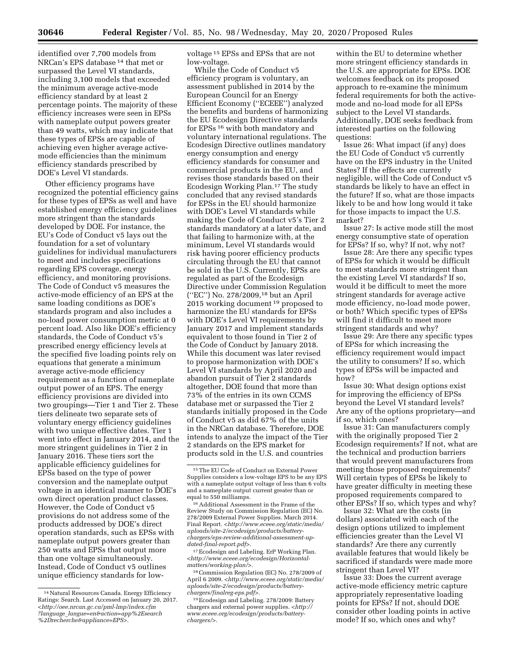identified over 7,700 models from NRCan's EPS database 14 that met or surpassed the Level VI standards, including 3,100 models that exceeded the minimum average active-mode efficiency standard by at least 2 percentage points. The majority of these efficiency increases were seen in EPSs with nameplate output powers greater than 49 watts, which may indicate that these types of EPSs are capable of achieving even higher average activemode efficiencies than the minimum efficiency standards prescribed by DOE's Level VI standards.

Other efficiency programs have recognized the potential efficiency gains for these types of EPSs as well and have established energy efficiency guidelines more stringent than the standards developed by DOE. For instance, the EU's Code of Conduct v5 lays out the foundation for a set of voluntary guidelines for individual manufacturers to meet and includes specifications regarding EPS coverage, energy efficiency, and monitoring provisions. The Code of Conduct v5 measures the active-mode efficiency of an EPS at the same loading conditions as DOE's standards program and also includes a no-load power consumption metric at 0 percent load. Also like DOE's efficiency standards, the Code of Conduct v5's prescribed energy efficiency levels at the specified five loading points rely on equations that generate a minimum average active-mode efficiency requirement as a function of nameplate output power of an EPS. The energy efficiency provisions are divided into two groupings—Tier 1 and Tier 2. These tiers delineate two separate sets of voluntary energy efficiency guidelines with two unique effective dates. Tier 1 went into effect in January 2014, and the more stringent guidelines in Tier 2 in January 2016. These tiers sort the applicable efficiency guidelines for EPSs based on the type of power conversion and the nameplate output voltage in an identical manner to DOE's own direct operation product classes. However, the Code of Conduct v5 provisions do not address some of the products addressed by DOE's direct operation standards, such as EPSs with nameplate output powers greater than 250 watts and EPSs that output more than one voltage simultaneously. Instead, Code of Conduct v5 outlines unique efficiency standards for lowvoltage 15 EPSs and EPSs that are not low-voltage.

While the Code of Conduct v5 efficiency program is voluntary, an assessment published in 2014 by the European Council for an Energy Efficient Economy (''ECEEE'') analyzed the benefits and burdens of harmonizing the EU Ecodesign Directive standards for EPSs 16 with both mandatory and voluntary international regulations. The Ecodesign Directive outlines mandatory energy consumption and energy efficiency standards for consumer and commercial products in the EU, and revises those standards based on their Ecodesign Working Plan.17 The study concluded that any revised standards for EPSs in the EU should harmonize with DOE's Level VI standards while making the Code of Conduct v5's Tier 2 standards mandatory at a later date, and that failing to harmonize with, at the minimum, Level VI standards would risk having poorer efficiency products circulating through the EU that cannot be sold in the U.S. Currently, EPSs are regulated as part of the Ecodesign Directive under Commission Regulation (''EC'') No. 278/2009,18 but an April 2015 working document 19 proposed to harmonize the EU standards for EPSs with DOE's Level VI requirements by January 2017 and implement standards equivalent to those found in Tier 2 of the Code of Conduct by January 2018. While this document was later revised to propose harmonization with DOE's Level VI standards by April 2020 and abandon pursuit of Tier 2 standards altogether, DOE found that more than 73% of the entries in its own CCMS database met or surpassed the Tier 2 standards initially proposed in the Code of Conduct v5 as did 67% of the units in the NRCan database. Therefore, DOE intends to analyze the impact of the Tier 2 standards on the EPS market for products sold in the U.S. and countries

17Ecodesign and Labeling. ErP Working Plan. *[<http://www.eceee.org/ecodesign/Horizontal](http://www.eceee.org/ecodesign/Horizontal-matters/working-plan/)[matters/working-plan/>.](http://www.eceee.org/ecodesign/Horizontal-matters/working-plan/)* 

18Commission Regulation (EC) No. 278/2009 of April 6 2009. *<[http://www.eceee.org/static/media/](http://www.eceee.org/static/media/uploads/site-2/ecodesign/products/battery-chargers/finalreg-eps.pdf) [uploads/site-2/ecodesign/products/battery](http://www.eceee.org/static/media/uploads/site-2/ecodesign/products/battery-chargers/finalreg-eps.pdf)[chargers/finalreg-eps.pdf>.](http://www.eceee.org/static/media/uploads/site-2/ecodesign/products/battery-chargers/finalreg-eps.pdf)* 

19Ecodesign and Labeling. 278/2009: Battery chargers and external power supplies. *[<http://](http://www.eceee.org/ecodesign/products/battery-chargers/) [www.eceee.org/ecodesign/products/battery](http://www.eceee.org/ecodesign/products/battery-chargers/)[chargers/>](http://www.eceee.org/ecodesign/products/battery-chargers/).* 

within the EU to determine whether more stringent efficiency standards in the U.S. are appropriate for EPSs. DOE welcomes feedback on its proposed approach to re-examine the minimum federal requirements for both the activemode and no-load mode for all EPSs subject to the Level VI standards. Additionally, DOE seeks feedback from interested parties on the following questions:

Issue 26: What impact (if any) does the EU Code of Conduct v5 currently have on the EPS industry in the United States? If the effects are currently negligible, will the Code of Conduct v5 standards be likely to have an effect in the future? If so, what are those impacts likely to be and how long would it take for those impacts to impact the U.S. market?

Issue 27: Is active mode still the most energy consumptive state of operation for EPSs? If so, why? If not, why not?

Issue 28: Are there any specific types of EPSs for which it would be difficult to meet standards more stringent than the existing Level VI standards? If so, would it be difficult to meet the more stringent standards for average active mode efficiency, no-load mode power, or both? Which specific types of EPSs will find it difficult to meet more stringent standards and why?

Issue 29: Are there any specific types of EPSs for which increasing the efficiency requirement would impact the utility to consumers? If so, which types of EPSs will be impacted and how?

Issue 30: What design options exist for improving the efficiency of EPSs beyond the Level VI standard levels? Are any of the options proprietary—and if so, which ones?

Issue 31: Can manufacturers comply with the originally proposed Tier 2 Ecodesign requirements? If not, what are the technical and production barriers that would prevent manufacturers from meeting those proposed requirements? Will certain types of EPSs be likely to have greater difficulty in meeting these proposed requirements compared to other EPSs? If so, which types and why?

Issue 32: What are the costs (in dollars) associated with each of the design options utilized to implement efficiencies greater than the Level VI standards? Are there any currently available features that would likely be sacrificed if standards were made more stringent than Level VI?

Issue 33: Does the current average active-mode efficiency metric capture appropriately representative loading points for EPSs? If not, should DOE consider other loading points in active mode? If so, which ones and why?

<sup>14</sup>Natural Resources Canada. Energy Efficiency Ratings: Search. Last Accessed on January 20, 2017. *[<http://oee.nrcan.gc.ca/pml-lmp/index.cfm](http://oee.nrcan.gc.ca/pml-lmp/index.cfm?language_langue=en&action=app%2Esearch%2Drecherche&appliance=EPS) ?language*\_*[langue=en&action=app%2Esearch](http://oee.nrcan.gc.ca/pml-lmp/index.cfm?language_langue=en&action=app%2Esearch%2Drecherche&appliance=EPS) [%2Drecherche&appliance=EPS>.](http://oee.nrcan.gc.ca/pml-lmp/index.cfm?language_langue=en&action=app%2Esearch%2Drecherche&appliance=EPS)* 

<sup>&</sup>lt;sup>15</sup>The EU Code of Conduct on External Power Supplies considers a low-voltage EPS to be any EPS with a nameplate output voltage of less than 6 volts and a nameplate output current greater than or equal to 550 milliamps.

<sup>16</sup> Additional Assessment in the Frame of the Review Study on Commission Regulation (EC) No. 278/2009 External Power Supplies. March 2014. Final Report. *[<http://www.eceee.org/static/media/](http://www.eceee.org/static/media/uploads/site-2/ecodesign/products/battery-chargers/eps-review-additional-assessment-updated-final-report.pdf) [uploads/site-2/ecodesign/products/battery](http://www.eceee.org/static/media/uploads/site-2/ecodesign/products/battery-chargers/eps-review-additional-assessment-updated-final-report.pdf)[chargers/eps-review-additional-assessment-u](http://www.eceee.org/static/media/uploads/site-2/ecodesign/products/battery-chargers/eps-review-additional-assessment-updated-final-report.pdf)p[dated-final-report.pdf>](http://www.eceee.org/static/media/uploads/site-2/ecodesign/products/battery-chargers/eps-review-additional-assessment-updated-final-report.pdf).*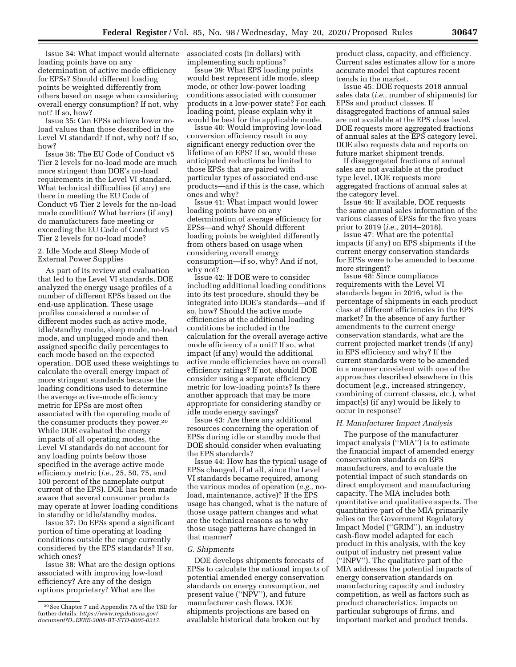Issue 34: What impact would alternate loading points have on any determination of active mode efficiency for EPSs? Should different loading points be weighted differently from others based on usage when considering overall energy consumption? If not, why not? If so, how?

Issue 35: Can EPSs achieve lower noload values than those described in the Level VI standard? If not, why not? If so, how?

Issue 36: The EU Code of Conduct v5 Tier 2 levels for no-load mode are much more stringent than DOE's no-load requirements in the Level VI standard. What technical difficulties (if any) are there in meeting the EU Code of Conduct v5 Tier 2 levels for the no-load mode condition? What barriers (if any) do manufacturers face meeting or exceeding the EU Code of Conduct v5 Tier 2 levels for no-load mode?

# 2. Idle Mode and Sleep Mode of External Power Supplies

As part of its review and evaluation that led to the Level VI standards, DOE analyzed the energy usage profiles of a number of different EPSs based on the end-use application. These usage profiles considered a number of different modes such as active mode, idle/standby mode, sleep mode, no-load mode, and unplugged mode and then assigned specific daily percentages to each mode based on the expected operation. DOE used these weightings to calculate the overall energy impact of more stringent standards because the loading conditions used to determine the average active-mode efficiency metric for EPSs are most often associated with the operating mode of the consumer products they power.20 While DOE evaluated the energy impacts of all operating modes, the Level VI standards do not account for any loading points below those specified in the average active mode efficiency metric (*i.e.,* 25, 50, 75, and 100 percent of the nameplate output current of the EPS). DOE has been made aware that several consumer products may operate at lower loading conditions in standby or idle/standby modes.

Issue 37: Do EPSs spend a significant portion of time operating at loading conditions outside the range currently considered by the EPS standards? If so, which ones?

Issue 38: What are the design options associated with improving low-load efficiency? Are any of the design options proprietary? What are the

associated costs (in dollars) with implementing such options?

Issue 39: What EPS loading points would best represent idle mode, sleep mode, or other low-power loading conditions associated with consumer products in a low-power state? For each loading point, please explain why it would be best for the applicable mode.

Issue 40: Would improving low-load conversion efficiency result in any significant energy reduction over the lifetime of an EPS? If so, would these anticipated reductions be limited to those EPSs that are paired with particular types of associated end-use products—and if this is the case, which ones and why?

Issue 41: What impact would lower loading points have on any determination of average efficiency for EPSs—and why? Should different loading points be weighted differently from others based on usage when considering overall energy consumption—if so, why? And if not, why not?

Issue 42: If DOE were to consider including additional loading conditions into its test procedure, should they be integrated into DOE's standards—and if so, how? Should the active mode efficiencies at the additional loading conditions be included in the calculation for the overall average active mode efficiency of a unit? If so, what impact (if any) would the additional active mode efficiencies have on overall efficiency ratings? If not, should DOE consider using a separate efficiency metric for low-loading points? Is there another approach that may be more appropriate for considering standby or idle mode energy savings?

Issue 43: Are there any additional resources concerning the operation of EPSs during idle or standby mode that DOE should consider when evaluating the EPS standards?

Issue 44: How has the typical usage of EPSs changed, if at all, since the Level VI standards became required, among the various modes of operation (*e.g.,* noload, maintenance, active)? If the EPS usage has changed, what is the nature of those usage pattern changes and what are the technical reasons as to why those usage patterns have changed in that manner?

## *G. Shipments*

DOE develops shipments forecasts of EPSs to calculate the national impacts of potential amended energy conservation standards on energy consumption, net present value (''NPV''), and future manufacturer cash flows. DOE shipments projections are based on available historical data broken out by

product class, capacity, and efficiency. Current sales estimates allow for a more accurate model that captures recent trends in the market.

Issue 45: DOE requests 2018 annual sales data (*i.e.,* number of shipments) for EPSs and product classes. If disaggregated fractions of annual sales are not available at the EPS class level, DOE requests more aggregated fractions of annual sales at the EPS category level. DOE also requests data and reports on future market shipment trends.

If disaggregated fractions of annual sales are not available at the product type level, DOE requests more aggregated fractions of annual sales at the category level.

Issue 46: If available, DOE requests the same annual sales information of the various classes of EPSs for the five years prior to 2019 (*i.e.,* 2014–2018).

Issue 47: What are the potential impacts (if any) on EPS shipments if the current energy conservation standards for EPSs were to be amended to become more stringent?

Issue 48: Since compliance requirements with the Level VI standards began in 2016, what is the percentage of shipments in each product class at different efficiencies in the EPS market? In the absence of any further amendments to the current energy conservation standards, what are the current projected market trends (if any) in EPS efficiency and why? If the current standards were to be amended in a manner consistent with one of the approaches described elsewhere in this document (*e.g.,* increased stringency, combining of current classes, etc.), what impact(s) (if any) would be likely to occur in response?

## *H. Manufacturer Impact Analysis*

The purpose of the manufacturer impact analysis (''MIA'') is to estimate the financial impact of amended energy conservation standards on EPS manufacturers, and to evaluate the potential impact of such standards on direct employment and manufacturing capacity. The MIA includes both quantitative and qualitative aspects. The quantitative part of the MIA primarily relies on the Government Regulatory Impact Model (''GRIM''), an industry cash-flow model adapted for each product in this analysis, with the key output of industry net present value (''INPV''). The qualitative part of the MIA addresses the potential impacts of energy conservation standards on manufacturing capacity and industry competition, as well as factors such as product characteristics, impacts on particular subgroups of firms, and important market and product trends.

<sup>20</sup>See Chapter 7 and Appendix 7A of the TSD for further details. *[https://www.regulations.gov/](https://www.regulations.gov/document?D=EERE-2008-BT-STD-0005-0217)  [document?D=EERE-2008-BT-STD-0005-0217.](https://www.regulations.gov/document?D=EERE-2008-BT-STD-0005-0217)*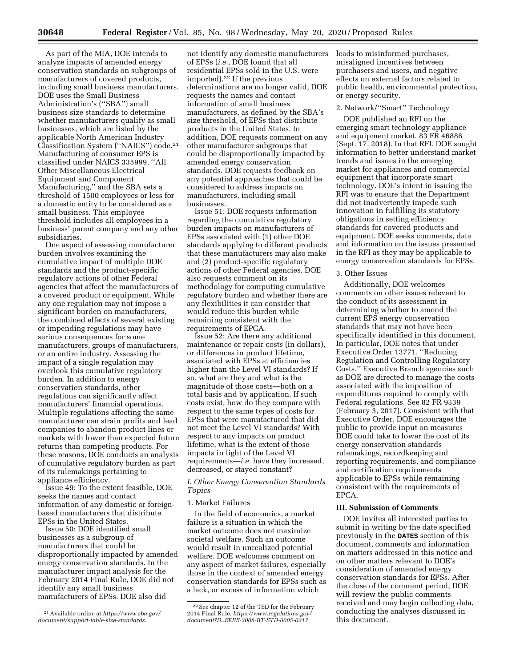As part of the MIA, DOE intends to analyze impacts of amended energy conservation standards on subgroups of manufacturers of covered products, including small business manufacturers. DOE uses the Small Business Administration's (''SBA'') small business size standards to determine whether manufacturers qualify as small businesses, which are listed by the applicable North American Industry Classification System (''NAICS'') code.21 Manufacturing of consumer EPS is classified under NAICS 335999, ''All Other Miscellaneous Electrical Equipment and Component Manufacturing,'' and the SBA sets a threshold of 1500 employees or less for a domestic entity to be considered as a small business. This employee threshold includes all employees in a business' parent company and any other subsidiaries.

One aspect of assessing manufacturer burden involves examining the cumulative impact of multiple DOE standards and the product-specific regulatory actions of other Federal agencies that affect the manufacturers of a covered product or equipment. While any one regulation may not impose a significant burden on manufacturers, the combined effects of several existing or impending regulations may have serious consequences for some manufacturers, groups of manufacturers, or an entire industry. Assessing the impact of a single regulation may overlook this cumulative regulatory burden. In addition to energy conservation standards, other regulations can significantly affect manufacturers' financial operations. Multiple regulations affecting the same manufacturer can strain profits and lead companies to abandon product lines or markets with lower than expected future returns than competing products. For these reasons, DOE conducts an analysis of cumulative regulatory burden as part of its rulemakings pertaining to appliance efficiency.

Issue 49: To the extent feasible, DOE seeks the names and contact information of any domestic or foreignbased manufacturers that distribute EPSs in the United States.

Issue 50: DOE identified small businesses as a subgroup of manufacturers that could be disproportionally impacted by amended energy conservation standards. In the manufacturer impact analysis for the February 2014 Final Rule, DOE did not identify any small business manufacturers of EPSs. DOE also did

21Available online at *[https://www.sba.gov/](https://www.sba.gov/document/support-table-size-standards) [document/support-table-size-standards.](https://www.sba.gov/document/support-table-size-standards)* 

not identify any domestic manufacturers of EPSs (*i.e.,* DOE found that all residential EPSs sold in the U.S. were imported).22 If the previous determinations are no longer valid, DOE requests the names and contact information of small business manufacturers, as defined by the SBA's size threshold, of EPSs that distribute products in the United States. In addition, DOE requests comment on any other manufacturer subgroups that could be disproportionally impacted by amended energy conservation standards. DOE requests feedback on any potential approaches that could be considered to address impacts on manufacturers, including small businesses.

Issue 51: DOE requests information regarding the cumulative regulatory burden impacts on manufacturers of EPSs associated with (1) other DOE standards applying to different products that these manufacturers may also make and (2) product-specific regulatory actions of other Federal agencies. DOE also requests comment on its methodology for computing cumulative regulatory burden and whether there are any flexibilities it can consider that would reduce this burden while remaining consistent with the requirements of EPCA.

Issue 52: Are there any additional maintenance or repair costs (in dollars), or differences in product lifetime, associated with EPSs at efficiencies higher than the Level VI standards? If so, what are they and what is the magnitude of those costs—both on a total basis and by application. If such costs exist, how do they compare with respect to the same types of costs for EPSs that were manufactured that did not meet the Level VI standards? With respect to any impacts on product lifetime, what is the extent of those impacts in light of the Level VI requirements—*i.e.* have they increased, decreased, or stayed constant?

# *I. Other Energy Conservation Standards Topics*

## 1. Market Failures

In the field of economics, a market failure is a situation in which the market outcome does not maximize societal welfare. Such an outcome would result in unrealized potential welfare. DOE welcomes comment on any aspect of market failures, especially those in the context of amended energy conservation standards for EPSs such as a lack, or excess of information which

leads to misinformed purchases, misaligned incentives between purchasers and users, and negative effects on external factors related to public health, environmental protection, or energy security.

## 2. Network/''Smart'' Technology

DOE published an RFI on the emerging smart technology appliance and equipment market. 83 FR 46886 (Sept. 17, 2018). In that RFI, DOE sought information to better understand market trends and issues in the emerging market for appliances and commercial equipment that incorporate smart technology. DOE's intent in issuing the RFI was to ensure that the Department did not inadvertently impede such innovation in fulfilling its statutory obligations in setting efficiency standards for covered products and equipment. DOE seeks comments, data and information on the issues presented in the RFI as they may be applicable to energy conservation standards for EPSs.

## 3. Other Issues

Additionally, DOE welcomes comments on other issues relevant to the conduct of its assessment in determining whether to amend the current EPS energy conservation standards that may not have been specifically identified in this document. In particular, DOE notes that under Executive Order 13771, ''Reducing Regulation and Controlling Regulatory Costs,'' Executive Branch agencies such as DOE are directed to manage the costs associated with the imposition of expenditures required to comply with Federal regulations. See 82 FR 9339 (February 3, 2017). Consistent with that Executive Order, DOE encourages the public to provide input on measures DOE could take to lower the cost of its energy conservation standards rulemakings, recordkeeping and reporting requirements, and compliance and certification requirements applicable to EPSs while remaining consistent with the requirements of EPCA.

# **III. Submission of Comments**

DOE invites all interested parties to submit in writing by the date specified previously in the **DATES** section of this document, comments and information on matters addressed in this notice and on other matters relevant to DOE's consideration of amended energy conservation standards for EPSs. After the close of the comment period, DOE will review the public comments received and may begin collecting data, conducting the analyses discussed in this document.

<sup>22</sup>See chapter 12 of the TSD for the February 2014 Final Rule. *[https://www.regulations.gov/](https://www.regulations.gov/document?D=EERE-2008-BT-STD-0005-0217) [document?D=EERE-2008-BT-STD-0005-0217.](https://www.regulations.gov/document?D=EERE-2008-BT-STD-0005-0217)*